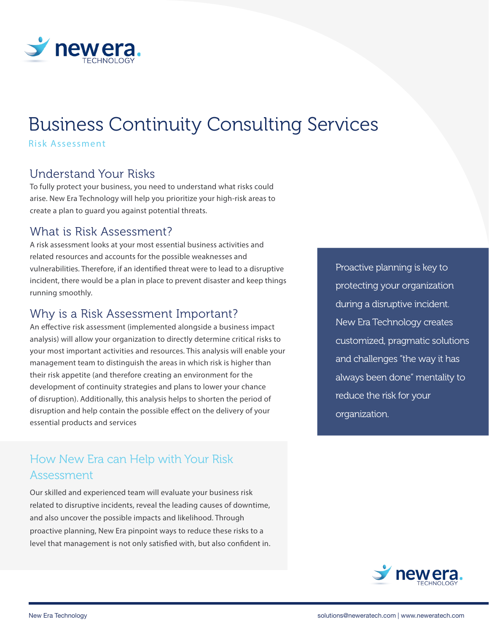

# Business Continuity Consulting Services

Risk Assessment

### Understand Your Risks

To fully protect your business, you need to understand what risks could arise. New Era Technology will help you prioritize your high-risk areas to create a plan to guard you against potential threats.

### What is Risk Assessment?

A risk assessment looks at your most essential business activities and related resources and accounts for the possible weaknesses and vulnerabilities. Therefore, if an identified threat were to lead to a disruptive incident, there would be a plan in place to prevent disaster and keep things running smoothly.

#### Why is a Risk Assessment Important?

An effective risk assessment (implemented alongside a business impact analysis) will allow your organization to directly determine critical risks to your most important activities and resources. This analysis will enable your management team to distinguish the areas in which risk is higher than their risk appetite (and therefore creating an environment for the development of continuity strategies and plans to lower your chance of disruption). Additionally, this analysis helps to shorten the period of disruption and help contain the possible effect on the delivery of your essential products and services

# How New Era can Help with Your Risk Assessment

Our skilled and experienced team will evaluate your business risk related to disruptive incidents, reveal the leading causes of downtime, and also uncover the possible impacts and likelihood. Through proactive planning, New Era pinpoint ways to reduce these risks to a level that management is not only satisfied with, but also confident in. Proactive planning is key to protecting your organization during a disruptive incident. New Era Technology creates customized, pragmatic solutions and challenges "the way it has always been done" mentality to reduce the risk for your organization.